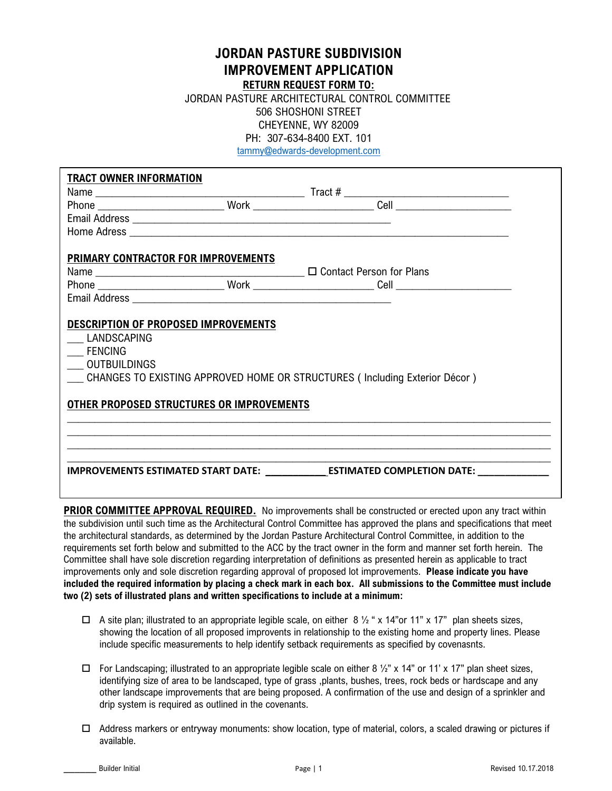## **JORDAN PASTURE SUBDIVISION IMPROVEMENT APPLICATION**

**RETURN REQUEST FORM TO:**

 JORDAN PASTURE ARCHITECTURAL CONTROL COMMITTEE 506 SHOSHONI STREET CHEYENNE, WY 82009 PH: 307-634-8400 EXT. 101

tammy@edwards-development.com

| <b>TRACT OWNER INFORMATION</b>                                              |                                                                            |  |
|-----------------------------------------------------------------------------|----------------------------------------------------------------------------|--|
|                                                                             |                                                                            |  |
|                                                                             |                                                                            |  |
|                                                                             |                                                                            |  |
|                                                                             |                                                                            |  |
| PRIMARY CONTRACTOR FOR IMPROVEMENTS                                         |                                                                            |  |
|                                                                             |                                                                            |  |
|                                                                             |                                                                            |  |
|                                                                             |                                                                            |  |
| <b>FENCING</b><br>OUTBUILDINGS<br>OTHER PROPOSED STRUCTURES OR IMPROVEMENTS | CHANGES TO EXISTING APPROVED HOME OR STRUCTURES (Including Exterior Décor) |  |
|                                                                             |                                                                            |  |
|                                                                             |                                                                            |  |
|                                                                             | IMPROVEMENTS ESTIMATED START DATE: ESTIMATED COMPLETION DATE:              |  |
|                                                                             |                                                                            |  |

**PRIOR COMMITTEE APPROVAL REQUIRED.** No improvements shall be constructed or erected upon any tract within the subdivision until such time as the Architectural Control Committee has approved the plans and specifications that meet the architectural standards, as determined by the Jordan Pasture Architectural Control Committee, in addition to the requirements set forth below and submitted to the ACC by the tract owner in the form and manner set forth herein. The Committee shall have sole discretion regarding interpretation of definitions as presented herein as applicable to tract improvements only and sole discretion regarding approval of proposed lot improvements. **Please indicate you have included the required information by placing a check mark in each box. All submissions to the Committee must include two (2) sets of illustrated plans and written specifications to include at a minimum:**

- $\Box$  A site plan; illustrated to an appropriate legible scale, on either 8  $\frac{1}{2}$  " x 14" or 11" x 17" plan sheets sizes, showing the location of all proposed improvents in relationship to the existing home and property lines. Please include specific measurements to help identify setback requirements as specified by covenasnts.
- $\Box$  For Landscaping; illustrated to an appropriate legible scale on either 8  $\frac{1}{2}$ " x 14" or 11' x 17" plan sheet sizes, identifying size of area to be landscaped, type of grass ,plants, bushes, trees, rock beds or hardscape and any other landscape improvements that are being proposed. A confirmation of the use and design of a sprinkler and drip system is required as outlined in the covenants.
- $\Box$  Address markers or entryway monuments: show location, type of material, colors, a scaled drawing or pictures if available.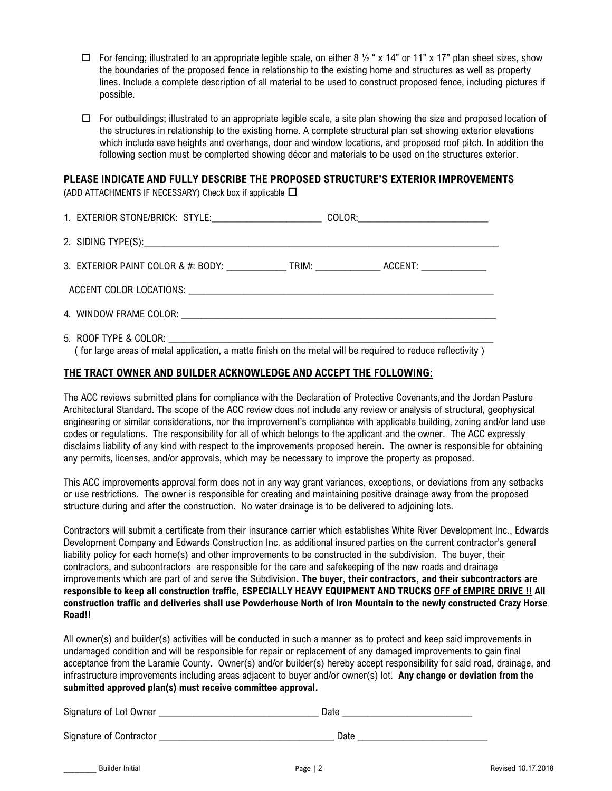- $\Box$  For fencing; illustrated to an appropriate legible scale, on either 8  $\frac{1}{2}$  " x 14" or 11" x 17" plan sheet sizes, show the boundaries of the proposed fence in relationship to the existing home and structures as well as property lines. Include a complete description of all material to be used to construct proposed fence, including pictures if possible.
- $\Box$  For outbuildings; illustrated to an appropriate legible scale, a site plan showing the size and proposed location of the structures in relationship to the existing home. A complete structural plan set showing exterior elevations which include eave heights and overhangs, door and window locations, and proposed roof pitch. In addition the following section must be complerted showing décor and materials to be used on the structures exterior.

## **PLEASE INDICATE AND FULLY DESCRIBE THE PROPOSED STRUCTURE'S EXTERIOR IMPROVEMENTS**

(ADD ATTACHMENTS IF NECESSARY) Check box if applicable  $\Box$ 

| 1. EXTERIOR STONE/BRICK: STYLE:__________________________COLOR:_________________                    |  |
|-----------------------------------------------------------------------------------------------------|--|
|                                                                                                     |  |
| 3. EXTERIOR PAINT COLOR & #: BODY: _______________TRIM: __________________ACCENT: _________________ |  |
|                                                                                                     |  |
|                                                                                                     |  |
|                                                                                                     |  |

( for large areas of metal application, a matte finish on the metal will be required to reduce reflectivity )

## **THE TRACT OWNER AND BUILDER ACKNOWLEDGE AND ACCEPT THE FOLLOWING:**

The ACC reviews submitted plans for compliance with the Declaration of Protective Covenants,and the Jordan Pasture Architectural Standard. The scope of the ACC review does not include any review or analysis of structural, geophysical engineering or similar considerations, nor the improvement's compliance with applicable building, zoning and/or land use codes or regulations. The responsibility for all of which belongs to the applicant and the owner. The ACC expressly disclaims liability of any kind with respect to the improvements proposed herein. The owner is responsible for obtaining any permits, licenses, and/or approvals, which may be necessary to improve the property as proposed.

This ACC improvements approval form does not in any way grant variances, exceptions, or deviations from any setbacks or use restrictions. The owner is responsible for creating and maintaining positive drainage away from the proposed structure during and after the construction. No water drainage is to be delivered to adjoining lots.

Contractors will submit a certificate from their insurance carrier which establishes White River Development Inc., Edwards Development Company and Edwards Construction Inc. as additional insured parties on the current contractor's general liability policy for each home(s) and other improvements to be constructed in the subdivision. The buyer, their contractors, and subcontractors are responsible for the care and safekeeping of the new roads and drainage improvements which are part of and serve the Subdivision**. The buyer, their contractors, and their subcontractors are responsible to keep all construction traffic, ESPECIALLY HEAVY EQUIPMENT AND TRUCKS OFF of EMPIRE DRIVE !! All construction traffic and deliveries shall use Powderhouse North of Iron Mountain to the newly constructed Crazy Horse Road!!**

All owner(s) and builder(s) activities will be conducted in such a manner as to protect and keep said improvements in undamaged condition and will be responsible for repair or replacement of any damaged improvements to gain final acceptance from the Laramie County. Owner(s) and/or builder(s) hereby accept responsibility for said road, drainage, and infrastructure improvements including areas adjacent to buyer and/or owner(s) lot. **Any change or deviation from the submitted approved plan(s) must receive committee approval.**

| Signature of Lot Owner |  |
|------------------------|--|
|                        |  |

Signature of Contractor \_\_\_\_\_\_\_\_\_\_\_\_\_\_\_\_\_\_\_\_\_\_\_\_\_\_\_\_\_\_\_\_\_\_\_ Date \_\_\_\_\_\_\_\_\_\_\_\_\_\_\_\_\_\_\_\_\_\_\_\_\_\_